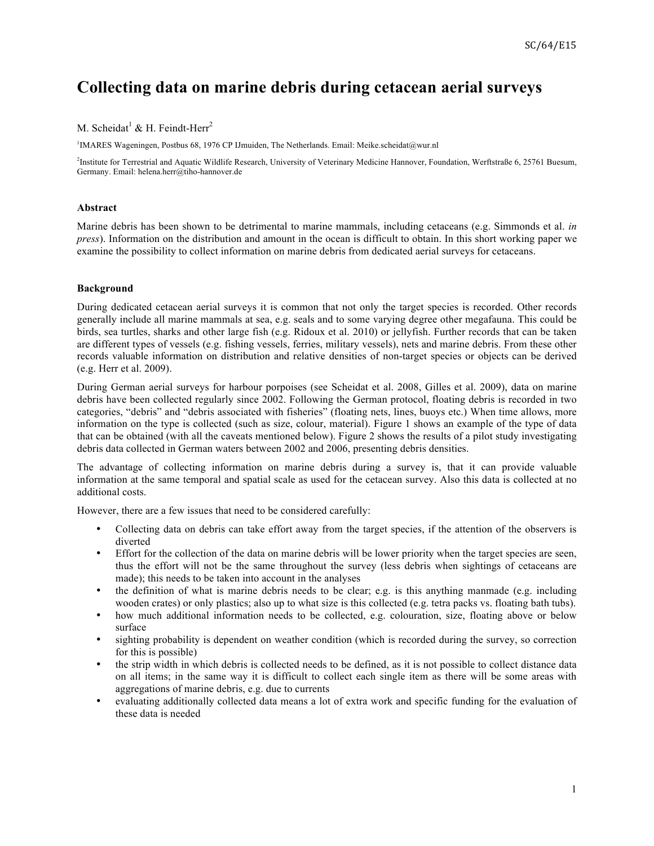# **Collecting data on marine debris during cetacean aerial surveys**

# M. Scheidat<sup>1</sup> & H. Feindt-Herr<sup>2</sup>

1 IMARES Wageningen, Postbus 68, 1976 CP IJmuiden, The Netherlands. Email: Meike.scheidat@wur.nl

2 Institute for Terrestrial and Aquatic Wildlife Research, University of Veterinary Medicine Hannover, Foundation, Werftstraße 6, 25761 Buesum, Germany. Email: helena.herr@tiho-hannover.de

#### **Abstract**

Marine debris has been shown to be detrimental to marine mammals, including cetaceans (e.g. Simmonds et al. *in press*). Information on the distribution and amount in the ocean is difficult to obtain. In this short working paper we examine the possibility to collect information on marine debris from dedicated aerial surveys for cetaceans.

## **Background**

During dedicated cetacean aerial surveys it is common that not only the target species is recorded. Other records generally include all marine mammals at sea, e.g. seals and to some varying degree other megafauna. This could be birds, sea turtles, sharks and other large fish (e.g. Ridoux et al. 2010) or jellyfish. Further records that can be taken are different types of vessels (e.g. fishing vessels, ferries, military vessels), nets and marine debris. From these other records valuable information on distribution and relative densities of non-target species or objects can be derived (e.g. Herr et al. 2009).

During German aerial surveys for harbour porpoises (see Scheidat et al. 2008, Gilles et al. 2009), data on marine debris have been collected regularly since 2002. Following the German protocol, floating debris is recorded in two categories, "debris" and "debris associated with fisheries" (floating nets, lines, buoys etc.) When time allows, more information on the type is collected (such as size, colour, material). Figure 1 shows an example of the type of data that can be obtained (with all the caveats mentioned below). Figure 2 shows the results of a pilot study investigating debris data collected in German waters between 2002 and 2006, presenting debris densities.

The advantage of collecting information on marine debris during a survey is, that it can provide valuable information at the same temporal and spatial scale as used for the cetacean survey. Also this data is collected at no additional costs.

However, there are a few issues that need to be considered carefully:

- Collecting data on debris can take effort away from the target species, if the attention of the observers is diverted
- Effort for the collection of the data on marine debris will be lower priority when the target species are seen, thus the effort will not be the same throughout the survey (less debris when sightings of cetaceans are made); this needs to be taken into account in the analyses
- the definition of what is marine debris needs to be clear; e.g. is this anything manmade (e.g. including wooden crates) or only plastics; also up to what size is this collected (e.g. tetra packs vs. floating bath tubs).
- how much additional information needs to be collected, e.g. colouration, size, floating above or below surface
- sighting probability is dependent on weather condition (which is recorded during the survey, so correction for this is possible)
- the strip width in which debris is collected needs to be defined, as it is not possible to collect distance data on all items; in the same way it is difficult to collect each single item as there will be some areas with aggregations of marine debris, e.g. due to currents
- evaluating additionally collected data means a lot of extra work and specific funding for the evaluation of these data is needed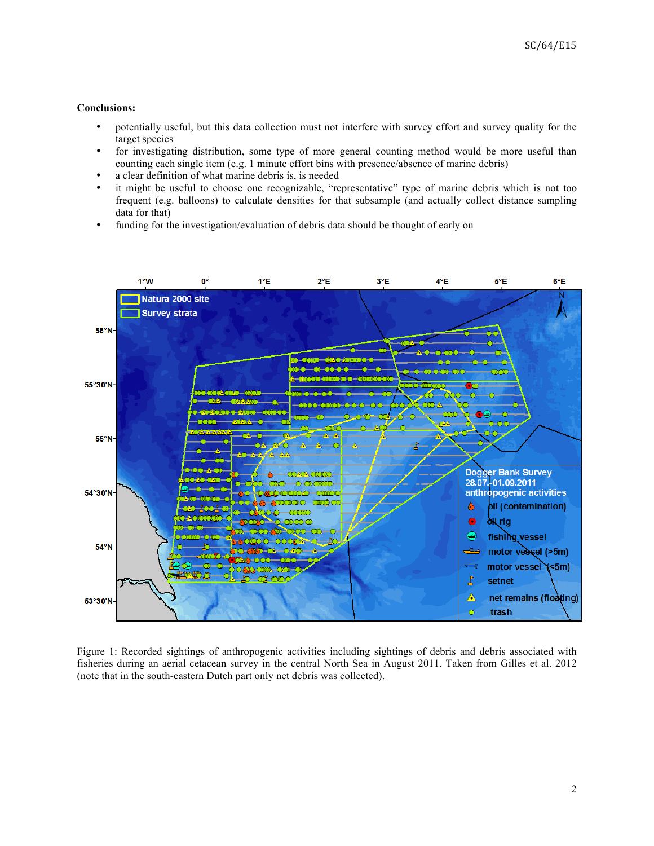## **Conclusions:**

- potentially useful, but this data collection must not interfere with survey effort and survey quality for the target species
- for investigating distribution, some type of more general counting method would be more useful than counting each single item (e.g. 1 minute effort bins with presence/absence of marine debris)
- a clear definition of what marine debris is, is needed
- it might be useful to choose one recognizable, "representative" type of marine debris which is not too frequent (e.g. balloons) to calculate densities for that subsample (and actually collect distance sampling data for that)
- funding for the investigation/evaluation of debris data should be thought of early on



Figure 1: Recorded sightings of anthropogenic activities including sightings of debris and debris associated with fisheries during an aerial cetacean survey in the central North Sea in August 2011. Taken from Gilles et al. 2012 (note that in the south-eastern Dutch part only net debris was collected).